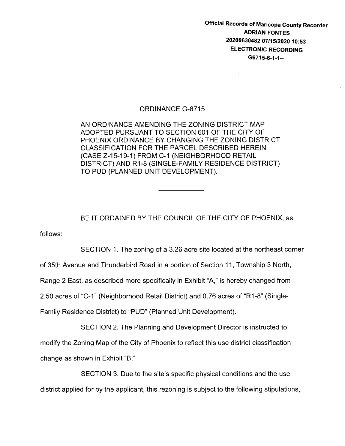Official Records of Maricopa County Recorder ADRIAN FONTES 20200630482 07/15/2020 10:53 ELECTRONIC RECORDING G6715-6-1-1--

## ORDINANCE G-6715

AN ORDINANCE AMENDING THE ZONING DISTRICT MAP ADOPTED PURSUANT TO SECTION 601 OF THE CITY OF PHOENIX ORDINANCE BY CHANGING THE ZONING DISTRICT CLASSIFICATION FOR THE PARCEL DESCRIBED HEREIN (CASE Z-15-19-1) FROM C-1 (NEIGHBORHOOD RETAIL DISTRICT) AND R1-8 (SINGLE-FAMILY RESIDENCE DISTRICT) TO PUD (PLANNED UNIT DEVELOPMENT).

follows: BE IT ORDAINED BY THE COUNCIL OF THE CITY OF PHOENIX, as

SECTION 1. The zoning of a 3.26 acre site located at the northeast corner

of 35th Avenue and Thunderbird Road in a portion of Section 11, Township 3 North,

Range 2 East, as described more specifically in Exhibit "A," is hereby changed from

2.50 acres of "C-1" (Neighborhood Retail District) and 0.76 acres of "R1-8" (Single-

Family Residence District) to "PUD" (Planned Unit Development).

SECTION 2. The Planning and Development Director is instructed to modify the Zoning Map of the City of Phoenix to reflect this use district classification change as shown in Exhibit "B."

SECTION 3. Due to the site's specific physical conditions and the use district applied for by the applicant, this rezoning is subject to the following stipulations,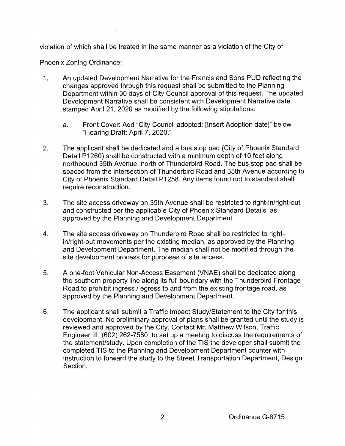violation of which shall be treated in the same manner as a violation of the City of

Phoenix Zoning Ordinance:

- 1. An updated Development Narrative for the Francis and Sons PUD reflecting the changes approved through this request shall be submitted to the Planning Department within 30 days of City Council approval of this request. The updated Development Narrative shall be consistent with Development Narrative date stamped April 21, 2020 as modified by the following stipulations.
	- a. Front Cover: Add "City Council adopted: [Insert Adoption date]" below "Hearing Draft: April 7, 2020."
- 2. The applicant shall be dedicated and a bus stop pad (City of Phoenix Standard Detail P1260) shall be constructed with a minimum depth of 10 feet along northbound 35th Avenue, north of Thunderbird Road. The bus stop pad shall be spaced from the intersection of Thunderbird Road and 35th Avenue according to City of Phoenix Standard Detail P1258. Any items found not to standard shall require reconstruction.
- 3. The site access driveway on 35th Avenue shall be restricted to right-in/right-out and constructed per the applicable City of Phoenix Standard Details, as approved by the Planning and Development Department.
- 4. The site access driveway on Thunderbird Road shall be restricted to rightin/right-out movements per the existing median, as approved by the Planning and Development Department. The median shall not be modified through the site development process for purposes of site access.
- 5. A one-foot Vehicular Non-Access Easement (VNAE) shall be dedicated along the southern property line along its full boundary with the Thunderbird Frontage Road to prohibit ingress / egress to and from the existing frontage road, as approved by the Planning and Development Department.
- 6. The applicant shall submit a Traffic Impact Study/Statement to the City for this development. No preliminary approval of plans shall be granted until the study is reviewed and approved by the City. Contact Mr. Matthew Wilson, Traffic Engineer Ill, (602) 262-7580, to set up a meeting to discuss the requirements of the statement/study. Upon completion of the TIS the developer shall submit the completed TIS to the Planning and Development Department counter with instruction to forward the study to the Street Transportation Department, Design Section.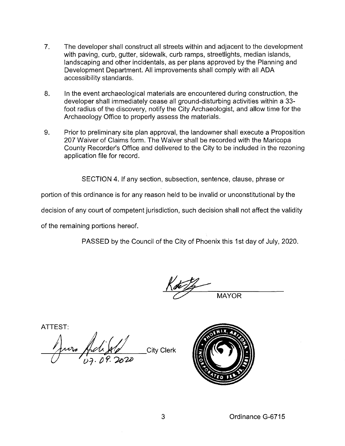- 7. The developer shall construct all streets within and adjacent to the development with paving, curb, gutter, sidewalk, curb ramps, streetlights, median islands, landscaping and other incidentals, as per plans approved by the Planning and Development Department. All improvements shall comply with all ADA accessibility standards.
- 8. In the event archaeological materials are encountered during construction, the developer shall immediately cease all ground-disturbing activities within a 33 foot radius of the discovery, notify the City Archaeologist, and allow time for the Archaeology Office to properly assess the materials.
- 9. Prior to preliminary site plan approval, the landowner shall execute a Proposition 207 Waiver of Claims form. The Waiver shall be recorded with the Maricopa County Recorder's Office and delivered to the City to be included in the rezoning application file for record.

SECTION 4. If any section, subsection, sentence, clause, phrase or

portion of this ordinance is for any reason held to be invalid or unconstitutional by the

decision of any court of competent jurisdiction, such decision shall not affect the validity

of the remaining portions hereof.

PASSED by the Council of the City of Phoenix this 1st day of July, 2020.

MAYOR

ATTEST:

June Adi Jul City Clerk  $U = \bigcup_{D \ni D} \overline{\partial P}$ . 2020

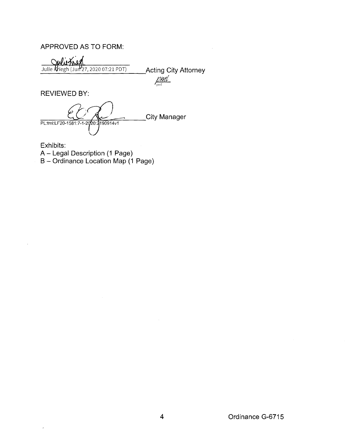## APPROVED AS TO FORM:

Julie Kriegh (Jun 27, 2020 07:21 PDT)<br>Julie Kriegh (Jun 27, 2020 07:21 PDT) \_\_\_\_\_\_\_ Acting City Attorney

 $pml$ 

REVIEWED BY:

**City Manager** PL:tml:LF20-1581:7-1-2020:2190914v1

Exhibits: A- Legal Description (1 Page) B- Ordinance Location Map (1 Page)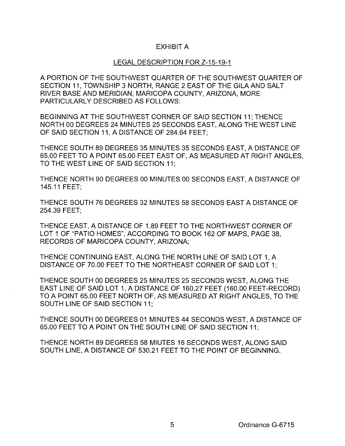## EXHIBIT A

## LEGAL DESCRIPTION FOR Z-15-19-1

A PORTION OF THE SOUTHWEST QUARTER OF THE SOUTHWEST QUARTER OF SECTION 11, TOWNSHIP 3 NORTH, RANGE 2 EAST OF THE GILA AND SALT RIVER BASE AND MERIDIAN, MARICOPA COUNTY, ARIZONA, MORE PARTICULARLY DESCRIBED AS FOLLOWS:

BEGINNING AT THE SOUTHWEST CORNER OF SAID SECTION 11; THENCE NORTH 00 DEGREES 24 MINUTES 25 SECONDS EAST, ALONG THE WEST LINE OF SAID SECTION 11, A DISTANCE OF 284.64 FEET;

THENCE SOUTH 89 DEGREES 35 MINUTES 35 SECONDS EAST, A DISTANCE OF 65.00 FEET TO A POINT 65.00 FEET EAST OF, AS MEASURED AT RIGHT ANGLES, TO THE WEST LINE OF SAID SECTION 11;

THENCE NORTH 90 DEGREES 00 MINUTES 00 SECONDS EAST, A DISTANCE OF 145.11 FEET;

THENCE SOUTH 76 DEGREES 32 MINUTES 58 SECONDS EAST A DISTANCE OF 254.39 FEET;

THENCE EAST, A DISTANCE OF 1.89 FEET TO THE NORTHWEST CORNER OF LOT 1 OF "PATIO HOMES", ACCORDING TO BOOK 162 OF MAPS, PAGE 38, RECORDS OF MARICOPA COUNTY, ARIZONA;

THENCE CONTINUING EAST, ALONG THE NORTH LINE OF SAID LOT 1, A DISTANCE OF 70.00 FEET TO THE NORTHEAST CORNER OF SAID LOT 1;

THENCE SOUTH 00 DEGREES 25 MINUTES 25 SECONDS WEST, ALONG THE EAST LINE OF SAID LOT 1, A DISTANCE OF 160.27 FEET (160.00 FEET-RECORD) TO A POINT 65.00 FEET NORTH OF, AS MEASURED AT RIGHT ANGLES, TO THE SOUTH LINE OF SAID SECTION 11;

THENCE SOUTH 00 DEGREES 01 MINUTES 44 SECONDS WEST, A DISTANCE OF 65.00 FEET TO A POINT ON THE SOUTH LINE OF SAID SECTION 11;

THENCE NORTH 89 DEGREES 58 MIUTES 16 SECONDS WEST, ALONG SAID SOUTH LINE, A DISTANCE OF 530.21 FEET TO THE POINT OF BEGINNING.